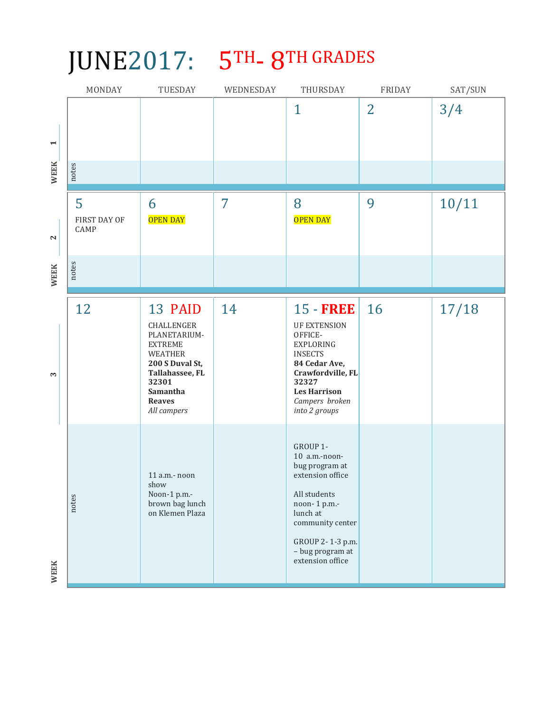## JUNE2017: 5TH- 8TH GRADES

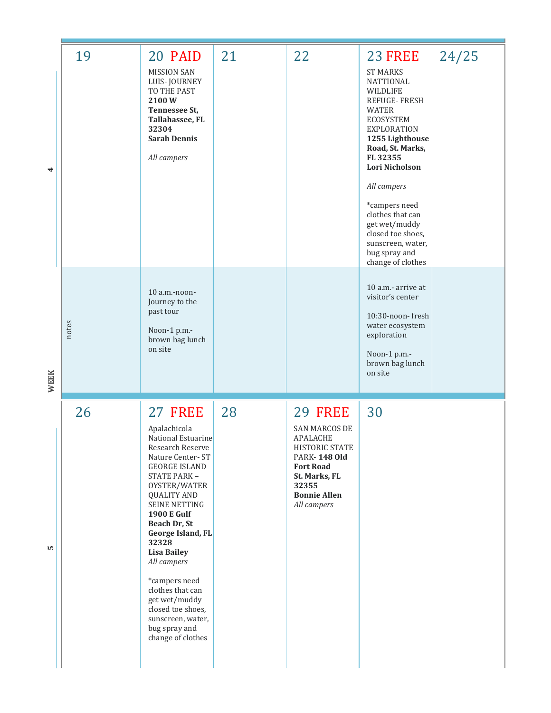|             | 19    | 20 PAID                                                                                                                                                                                                                                                                                                                                                                                                                  | 21 | 22                                                                                                                                                            | <b>23 FREE</b>                                                                                                                                                                                                                                                                                                                               | 24/25 |
|-------------|-------|--------------------------------------------------------------------------------------------------------------------------------------------------------------------------------------------------------------------------------------------------------------------------------------------------------------------------------------------------------------------------------------------------------------------------|----|---------------------------------------------------------------------------------------------------------------------------------------------------------------|----------------------------------------------------------------------------------------------------------------------------------------------------------------------------------------------------------------------------------------------------------------------------------------------------------------------------------------------|-------|
| 4           |       | <b>MISSION SAN</b><br>LUIS-JOURNEY<br>TO THE PAST<br>2100W<br>Tennessee St,<br>Tallahassee, FL<br>32304<br><b>Sarah Dennis</b><br>All campers                                                                                                                                                                                                                                                                            |    |                                                                                                                                                               | <b>ST MARKS</b><br>NATTIONAL<br>WILDLIFE<br>REFUGE-FRESH<br><b>WATER</b><br><b>ECOSYSTEM</b><br><b>EXPLORATION</b><br>1255 Lighthouse<br>Road, St. Marks,<br>FL 32355<br>Lori Nicholson<br>All campers<br>*campers need<br>clothes that can<br>get wet/muddy<br>closed toe shoes,<br>sunscreen, water,<br>bug spray and<br>change of clothes |       |
| <b>WEEK</b> | notes | $10$ a.m.-noon-<br>Journey to the<br>past tour<br>Noon-1 p.m.-<br>brown bag lunch<br>on site                                                                                                                                                                                                                                                                                                                             |    |                                                                                                                                                               | 10 a.m.- arrive at<br>visitor's center<br>10:30-noon-fresh<br>water ecosystem<br>exploration<br>Noon-1 p.m.-<br>brown bag lunch<br>on site                                                                                                                                                                                                   |       |
|             | 26    | 27 FREE                                                                                                                                                                                                                                                                                                                                                                                                                  | 28 | 29 FREE                                                                                                                                                       | 30                                                                                                                                                                                                                                                                                                                                           |       |
| r.          |       | Apalachicola<br>National Estuarine<br>Research Reserve<br>Nature Center-ST<br>GEORGE ISLAND<br>STATE PARK -<br>OYSTER/WATER<br><b>QUALITY AND</b><br><b>SEINE NETTING</b><br><b>1900 E Gulf</b><br>Beach Dr, St<br>George Island, FL<br>32328<br><b>Lisa Bailey</b><br>All campers<br>*campers need<br>clothes that can<br>get wet/muddy<br>closed toe shoes,<br>sunscreen, water,<br>bug spray and<br>change of clothes |    | <b>SAN MARCOS DE</b><br>APALACHE<br>HISTORIC STATE<br><b>PARK-148 Old</b><br><b>Fort Road</b><br>St. Marks, FL<br>32355<br><b>Bonnie Allen</b><br>All campers |                                                                                                                                                                                                                                                                                                                                              |       |